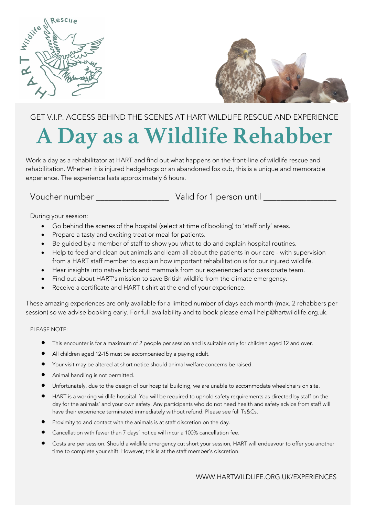



## GET V.I.P. ACCESS BEHIND THE SCENES AT HART WILDLIFE RESCUE AND EXPERIENCE **A Day as a Wildlife Rehabber**

Work a day as a rehabilitator at HART and find out what happens on the front-line of wildlife rescue and rehabilitation. Whether it is injured hedgehogs or an abandoned fox cub, this is a unique and memorable experience. The experience lasts approximately 6 hours.

Voucher number \_\_\_\_\_\_\_\_\_\_\_\_\_\_\_\_\_ Valid for 1 person until \_\_\_\_\_\_\_\_\_\_\_\_\_\_\_\_\_

During your session:

- Go behind the scenes of the hospital (select at time of booking) to 'staff only' areas.
- Prepare a tasty and exciting treat or meal for patients.
- Be guided by a member of staff to show you what to do and explain hospital routines.
- Help to feed and clean out animals and learn all about the patients in our care with supervision from a HART staff member to explain how important rehabilitation is for our injured wildlife.
- Hear insights into native birds and mammals from our experienced and passionate team.
- Find out about HART's mission to save British wildlife from the climate emergency.
- Receive a certificate and HART t-shirt at the end of your experience.

These amazing experiences are only available for a limited number of days each month (max. 2 rehabbers per session) so we advise booking early. For full availability and to book please email help@hartwildlife.org.uk.

## PLEASE NOTE:

- This encounter is for a maximum of 2 people per session and is suitable only for children aged 12 and over.
- All children aged 12-15 must be accompanied by a paying adult.
- Your visit may be altered at short notice should animal welfare concerns be raised.
- Animal handling is not permitted.
- Unfortunately, due to the design of our hospital building, we are unable to accommodate wheelchairs on site.
- HART is a working wildlife hospital. You will be required to uphold safety requirements as directed by staff on the day for the animals' and your own safety. Any participants who do not heed health and safety advice from staff will have their experience terminated immediately without refund. Please see full Ts&Cs.
- Proximity to and contact with the animals is at staff discretion on the day.
- Cancellation with fewer than 7 days' notice will incur a 100% cancellation fee.
- Costs are per session. Should a wildlife emergency cut short your session, HART will endeavour to offer you another time to complete your shift. However, this is at the staff member's discretion.